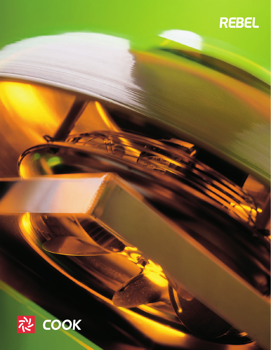

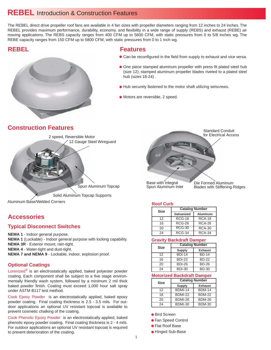## **REBEL** Introduction & Construction Features

The REBEL direct drive propeller roof fans are available in 4 fan sizes with propeller diameters ranging from 12 inches to 24 inches. The REBEL provides maximum performance, durability, economy, and flexibility in a wide range of supply (REBS) and exhaust (REBE) air moving applications. The REBS capacity ranges from 400 CFM up to 5600 CFM, with static pressures from 0 to 5/8 inches wg. The REBE capacity ranges from 150 CFM up to 5800 CFM, with static pressures from 0 to 1 inch wg.

## **REBEL**



### **Features**

- Can be reconfigured in the field from supply to exhaust and vice versa.
- One piece stamped aluminum propeller with press fit plated steel hub (size 12); stamped aluminum propeller blades riveted to a plated steel hub (sizes 16-24) .
- $\bullet$  Hub securely fastened to the motor shaft utilizing setscrews.
- Motors are reversible, 2 speed.

## **Construction Features**



## **Accessories**

### **Typical Disconnect Switches**

**NEMA 1** - Indoor general purpose. **NEMA 1** (Lockable) - Indoor general purpose with locking capability. **NEMA 3R** - Exterior mount, rain-tight. **NEMA 4** - Water-tight and dust-tight. **NEMA 7 and NEMA 9** - Lockable, indoor, explosion proof.

### **Optional Coatings**

Lorenized® is an electrostatically applied, baked polyester powder coating. Each component shall be subject to a five stage environmentally friendly wash system, followed by a minimum 2 mil thick baked powder finish. Coating must exceed 1,000 hour salt spray under ASTM B117 test method.

Cook Epoxy Powder is an electrostatically applied, baked epoxy powder coating. Final coating thickness is 2.5 - 3.5 mils. For outdoor applications an optional UV resistant topcoat is available to prevent cosmetic chalking of the coating.

Cook Phenolic Epoxy Powder is an electrostatically applied, baked phenolic epoxy powder coating. Final coating thickness is 2 - 4 mils. For outdoor applications an optional UV resistant topcoat is required to prevent deterioration of the coating.



Spun Aluminum Inlet

Blades with Stiffening Ridges

#### **Roof Curb**

| Size | <b>Catalog Number</b> |                 |  |  |  |  |  |
|------|-----------------------|-----------------|--|--|--|--|--|
|      | Galvanized            | <b>Aluminum</b> |  |  |  |  |  |
| 12   | <b>RCG-18</b>         | <b>RCA-18</b>   |  |  |  |  |  |
| 16   | <b>RCG-26</b>         | <b>RCA-26</b>   |  |  |  |  |  |
| 20   | $RCG-30$              | <b>RCA-30</b>   |  |  |  |  |  |
| 24   | <b>RCG-34</b>         | <b>RCA-34</b>   |  |  |  |  |  |

#### **Gravity Backdraft Damper**

| <b>Size</b> | <b>Catalog Number</b> |                |  |  |  |  |  |
|-------------|-----------------------|----------------|--|--|--|--|--|
|             | Supply                | <b>Exhaust</b> |  |  |  |  |  |
| 12          | <b>BDI-14</b>         | <b>BD-14</b>   |  |  |  |  |  |
| 16          | <b>BDI-22</b>         | <b>BD-22</b>   |  |  |  |  |  |
| 20          | <b>BDI-26</b>         | <b>BD-26</b>   |  |  |  |  |  |
| 24          | <b>BDI-30</b>         | <b>BD-30</b>   |  |  |  |  |  |

#### **Motorized Backdraft Damper**

| Size | <b>Catalog Number</b> |                |  |  |  |  |  |
|------|-----------------------|----------------|--|--|--|--|--|
|      | <b>Supply</b>         | <b>Exhaust</b> |  |  |  |  |  |
| 12   | <b>BDMI-14</b>        | <b>BDM-14</b>  |  |  |  |  |  |
| 16   | <b>BDMI-22</b>        | <b>BDM-22</b>  |  |  |  |  |  |
| 20   | BDMI-26               | <b>BDM-26</b>  |  |  |  |  |  |
| 24   | <b>BDMI-30</b>        | <b>BDM-30</b>  |  |  |  |  |  |

● Bird Screen

- Fan Speed Control
- Flat Roof Base
- **Hinged Sub-Base**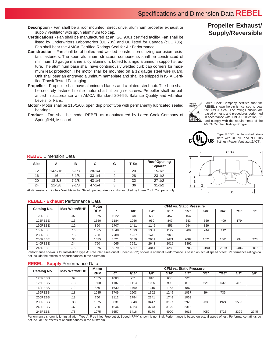- **Description** Fan shall be a roof mounted, direct drive, aluminum propeller exhaust or supply ventilator with spun aluminum top cap.
- **Certifications** Fan shall be manufactured at an ISO 9001 certified facility. Fan shall be listed by Underwriters Laboratories (UL 705) and UL listed for Canada (cUL 705). Fan shall bear the AMCA Certified Ratings Seal for Air Performance.
- **Construction** Fan shall be of bolted and welded construction utilizing corrosion resistant fasteners. The spun aluminum structural components shall be constructed of minimum 16 gauge marine alloy aluminum, bolted to a rigid aluminum support structure. The aluminum base shall have continuously welded curb cap corners for maximum leak protection. The motor shall be mounted on a 12 gauge steel wire guard. Unit shall bear an engraved aluminum nameplate and shall be shipped in ISTA Certified Transit Tested Packaging.
- **Propeller** Propeller shall have aluminum blades and a plated steel hub. The hub shall be securely fastened to the motor shaft utilizing setscrews. Propeller shall be balanced in accordance with AMCA Standard 204-96, Balance Quality and Vibration Levels for Fans.
- **Motor** Motor shall be 115/1/60, open drip proof type with permanently lubricated sealed bearings.
- **Product** Fan shall be model REBEL as manufactured by Loren Cook Company of Springfield, Missouri.

## **Propeller Exhaust/ Supply/Reversible**





Loren Cook Company certifies that the REBEL shown herein is licensed to bear the AMCA Seal. The ratings shown are based on tests and procedures performed in accordance with AMCA Publication 211 and comply with the requirements of the AMCA Certified Ratings Program.



Type REBEL is furnished standard with UL 705 and cUL 705 listings (Power Ventilator/ZACT).



#### **REBEL** Dimension Data

| <b>Size</b> | А          | в         | С          | G | T-Sq. | <b>Roof Opening</b><br>Square* |  |  |
|-------------|------------|-----------|------------|---|-------|--------------------------------|--|--|
| 12          | 14-9/16    | $5 - 1/8$ | $28 - 1/4$ |   | 20    | $15 - 1/2$                     |  |  |
| 16          | 16         | $6 - 1/8$ | $33 - 1/4$ | 2 | 28    | $23 - 1/2$                     |  |  |
| 20          | $18 - 3/8$ | $7 - 1/8$ | $43 - 1/4$ | ົ | 32    | $27 - 1/2$                     |  |  |
| 24          | $21 - 5/8$ | $9 - 1/8$ | $47 - 1/4$ | 3 | 36    | $31 - 1/2$                     |  |  |

All dimensions in inches. Weights in lbs. \*Roof opening size for curbs supplied by Loren Cook Company only.

#### **REBEL - Exhaust** Performance Data

| Catalog No. | <b>Max Watts/BHP</b> | <b>Motor</b> | <b>CFM vs. Static Pressure</b> |      |      |      |      |      |      |      |      |
|-------------|----------------------|--------------|--------------------------------|------|------|------|------|------|------|------|------|
|             |                      | <b>RPM</b>   | 0"                             | 1/8" | 1/4" | 3/8" | 1/2" | 5/8" | 3/4" | 7/8" | 433  |
| 120REBE     | .07                  | 1075         | 1022                           | 840  | 688  | 457  | 154  |      |      |      |      |
| 125REBE     | .13                  | 1550         | 1184                           | 1056 | 950  | 847  | 643  | 569  | 409  | 179  |      |
| 160REBE     | .12                  | 850          | 1707                           | 1411 | 1145 | 851  | 644  | 329  |      |      |      |
| 165REBE     | .16                  | 1085         | 1848                           | 1593 | 1351 | 1127 | 909  | 744  | 412  |      |      |
| 200REBE     | .16                  | 750          | 2700                           | 1967 | 1415 | 963  |      |      |      |      |      |
| 205REBE     | .38                  | 1075         | 3821                           | 3359 | 2931 | 2471 | 2082 | 1671 | 1361 | 794  | 273  |
| 240REBE     | .34                  | 750          | 4665                           | 3591 | 2643 | 2012 | 1391 |      |      |      |      |
| 245REBE     | .75                  | 1075         | 5879                           | 5367 | 4841 | 4289 | 3783 | 3190 | 2819 | 2486 | 2016 |

Performance shown is for Installation Type A: Free inlet, Free outlet. Speed (RPM) shown is nominal. Performance is based on actual speed of test. Performance ratings do not include the effects of appurtenances in the airstream.

#### **REBEL - Supply** Performance Data

| Catalog No. | <b>Max Watts/BHP</b> | <b>Motor</b> | <b>CFM vs. Static Pressure</b> |       |      |       |      |      |       |      |      |
|-------------|----------------------|--------------|--------------------------------|-------|------|-------|------|------|-------|------|------|
|             |                      | <b>RPM</b>   | $0$ "                          | 1/16" | 1/8" | 3/16" | 1/4" | 3/8" | 7/16" | 1/2" | 5/8" |
| 120REBS     | .07                  | 1075         | 1063                           | 951   | 810  | 688   | 520  |      |       |      |      |
| 125REBS     | .13                  | 1550         | 1187                           | 1113  | 1005 | 908   | 818  | 621  | 532   | 415  |      |
| 160REBS     | .12                  | 850          | 1630                           | 1460  | 1315 | 1153  | 987  |      |       |      |      |
| 165REBS     | .18                  | 1085         | 1749                           | 1503  | 1362 | 1249  | 1037 | 894  | 736   |      |      |
| 200REBS     | .18                  | 750          | 3112                           | 2784  | 2341 | 1748  | 1063 |      |       |      |      |
| 205REBS     | .38                  | 1075         | 3831                           | 3648  | 3447 | 3197  | 2923 | 2336 | 1924  | 1553 |      |
| 240REBS     | .37                  | 750          | 4644                           | 4223  | 3773 | 3129  | 2316 |      |       |      |      |
| 245REBS     | .78                  | 1075         | 5657                           | 5416  | 5170 | 4900  | 4618 | 4059 | 3726  | 3399 | 2745 |

Performance shown is for Installation Type A: Free inlet, Free outlet. Speed (RPM) shown is nominal. Performance is based on actual speed of test. Performance ratings do not include the effects of appurtenances in the airstream.